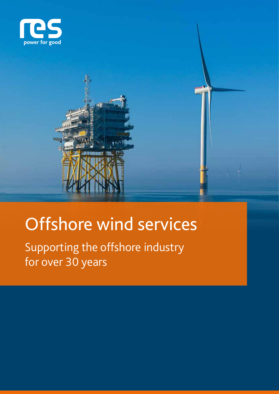



# Offshore wind services

Supporting the offshore industry for over 30 years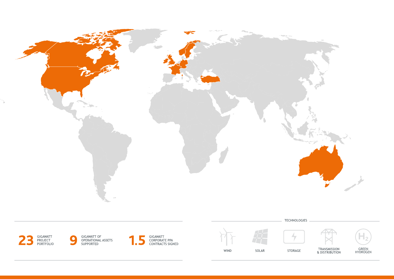









 $\blacktriangle$ 

STORAGE

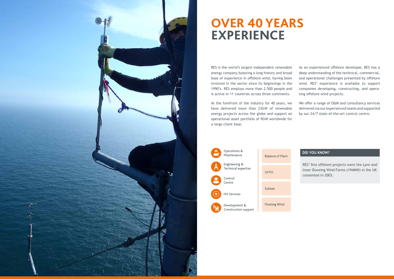RES is the world's largest independent renewable energy company boasting a long history and broad base of experience in offshore wind, having been involved in the sector since its beginnings in the 1990's. RES employs more than 2,500 people and is active in 11 countries across three continents.

At the forefront of the industry for 40 years, we have delivered more than 23GW of renewable energy projects across the globe and support an operational asset portfolio of 9GW worldwide for a large client base.





As an experienced offshore developer, RES has a deep understanding of the technical, commercial, and operational challenges presented by offshore wind. RES' experience is available to support companies developing, constructing, and operating offshore wind projects.

We offer a range of O&M and consultancy services delivered via our experienced teams and supported by our 24/7 state-of-the-art control centre.



### **OVER 40 YEARS EXPERIENCE**

### **DID YOU KNOW?**

RES' first offshore projects were the Lynn and Inner Dowsing Wind Farms (194MW) in the UK consented in 2003.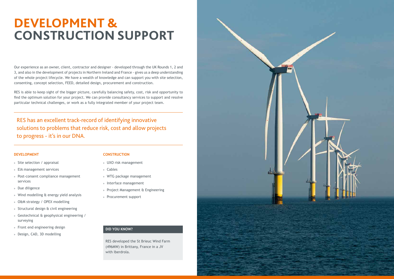Our experience as an owner, client, contractor and designer - developed through the UK Rounds 1, 2 and 3, and also in the development of projects in Northern Ireland and France - gives us a deep understanding of the whole project lifecycle. We have a wealth of knowledge and can support you with site selection, consenting, concept selection, FEED, detailed design, procurement and construction.

RES is able to keep sight of the bigger picture, carefully balancing safety, cost, risk and opportunity to find the optimum solution for your project. We can provide consultancy services to support and resolve particular technical challenges, or work as a fully integrated member of your project team.

## **DEVELOPMENT & CONSTRUCTION SUPPORT**

- » Site selection / appraisal
- » EIA management services
- » Post-consent compliance management services
- » Due diligence
- » Wind modelling & energy yield analysis
- » O&M strategy / OPEX modelling
- » Structural design & civil engineering
- » Geotechnical & geophysical engineering / surveying
- » Front end engineering design
- » Design, CAD, 3D modelling

#### **DEVELOPMENT CONSTRUCTION**

- » UXO risk management
- » Cables
- » WTG package management
- » Interface management
- » Project Management & Engineering
- » Procurement support

RES has an excellent track-record of identifying innovative solutions to problems that reduce risk, cost and allow projects to progress - it's in our DNA.

### **DID YOU KNOW?**

RES developed the St Brieuc Wind Farm (496MW) in Brittany, France in a JV with Iberdrola.

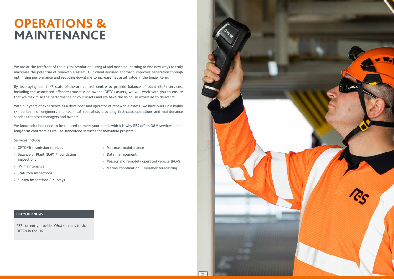### **OPERATIONS & MAINTENANCE**

- » OFTO/Transmission services
- » Balance of Plant (BoP) / foundation inspections
- » HV maintenance
- » Statutory inspections
- » Subsea inspections & surveys

We are at the forefront of the digital revolution, using AI and machine learning to find new ways to truly maximise the potential of renewable assets. Our client-focused approach improves generation through optimising performance and reducing downtime to increase net asset value in the longer term.

We know solutions need to be tailored to meet your needs which is why RES offers O&M services under long-term contracts as well as standalone services for individual projects.

By leveraging our 24/7 state-of-the-art control centre to provide balance of plant (BoP) services, including the associated offshore transmission owner (OFTO) assets, we will work with you to ensure that we maximise the performance of your assets and we have the in-house expertise to deliver it.

With our years of experience as a developer and operator of renewable assets, we have built up a highly skilled team of engineers and technical specialists providing first-class operations and maintenance services for asset managers and owners.

Services include:

#### » Met mast maintenance

- » Data management
- » Vessels and remotely operated vehicle (ROVs)
- » Marine coordination & weather forecasting

#### **DID YOU KNOW?**

RES currently provides O&M services to six OFTOs in the UK.

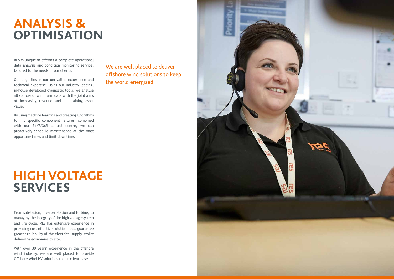### **ANALYSIS & OPTIMISATION**

RES is unique in offering a complete operational data analysis and condition monitoring service, tailored to the needs of our clients.

Our edge lies in our unrivalled experience and technical expertise. Using our industry leading, in-house developed diagnostic tools, we analyse all sources of wind farm data with the joint aims of increasing revenue and maintaining asset value.

By using machine learning and creating algorithms to find specific component failures, combined with our 24/7/365 control centre, we can proactively schedule maintenance at the most opportune times and limit downtime.

### **SERVICES HIGH VOLTAGE**

From substation, inverter station and turbine, to managing the integrity of the high voltage system and life cycle, RES has extensive experience in providing cost effective solutions that guarantee greater reliability of the electrical supply, whilst delivering economies to site.

With over 30 years' experience in the offshore wind industry, we are well placed to provide Offshore Wind HV solutions to our client base.



We are well placed to deliver offshore wind solutions to keep the world energised